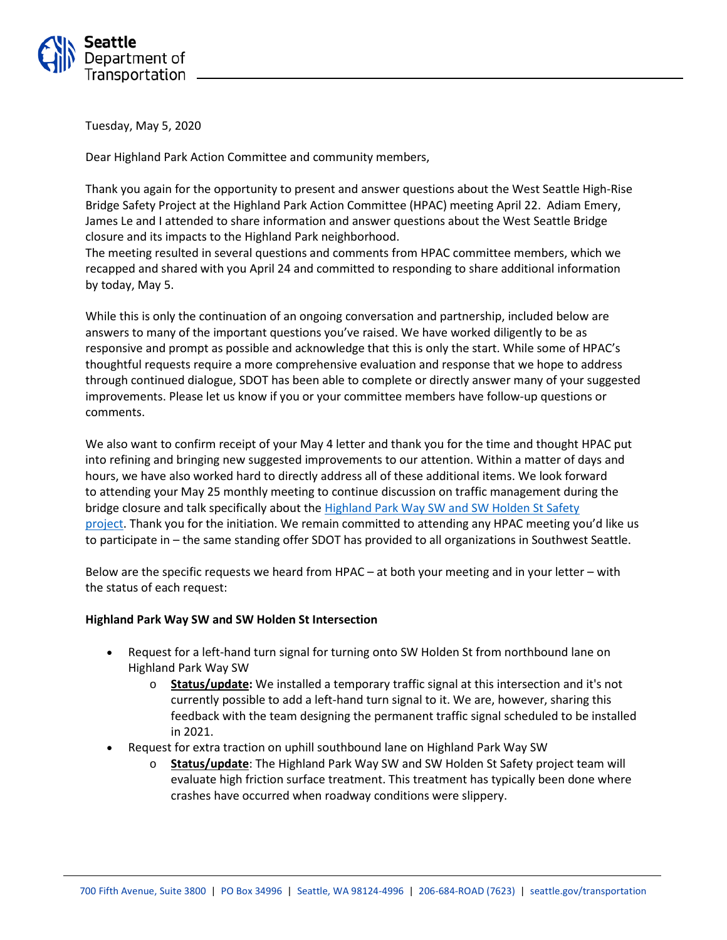

Tuesday, May 5, 2020

Dear Highland Park Action Committee and community members,

Thank you again for the opportunity to present and answer questions about the West Seattle High-Rise Bridge Safety Project at the Highland Park Action Committee (HPAC) meeting April 22. Adiam Emery, James Le and I attended to share information and answer questions about the West Seattle Bridge closure and its impacts to the Highland Park neighborhood.

The meeting resulted in several questions and comments from HPAC committee members, which we recapped and shared with you April 24 and committed to responding to share additional information by today, May 5.

While this is only the continuation of an ongoing conversation and partnership, included below are answers to many of the important questions you've raised. We have worked diligently to be as responsive and prompt as possible and acknowledge that this is only the start. While some of HPAC's thoughtful requests require a more comprehensive evaluation and response that we hope to address through continued dialogue, SDOT has been able to complete or directly answer many of your suggested improvements. Please let us know if you or your committee members have follow-up questions or comments.

We also want to confirm receipt of your May 4 letter and thank you for the time and thought HPAC put into refining and bringing new suggested improvements to our attention. Within a matter of days and hours, we have also worked hard to directly address all of these additional items. We look forward to attending your May 25 monthly meeting to continue discussion on traffic management during the bridge closure and talk specifically about the Highland Park Way [SW and SW Holden St](https://www.seattle.gov/transportation/projects-and-programs/safety-first/vision-zero/projects/highland-park-area-safety-project) Safety [project.](https://www.seattle.gov/transportation/projects-and-programs/safety-first/vision-zero/projects/highland-park-area-safety-project) Thank you for the initiation. We remain committed to attending any HPAC meeting you'd like us to participate in – the same standing offer SDOT has provided to all organizations in Southwest Seattle.

Below are the specific requests we heard from HPAC – at both your meeting and in your letter – with the status of each request:

#### **Highland Park Way SW and SW Holden St Intersection**

- Request for a left-hand turn signal for turning onto SW Holden St from northbound lane on Highland Park Way SW
	- o **Status/update:** We installed a temporary traffic signal at this intersection and it's not currently possible to add a left-hand turn signal to it. We are, however, sharing this feedback with the team designing the permanent traffic signal scheduled to be installed in 2021.
- Request for extra traction on uphill southbound lane on Highland Park Way SW
	- o **Status/update**: The Highland Park Way SW and SW Holden St Safety project team will evaluate high friction surface treatment. This treatment has typically been done where crashes have occurred when roadway conditions were slippery.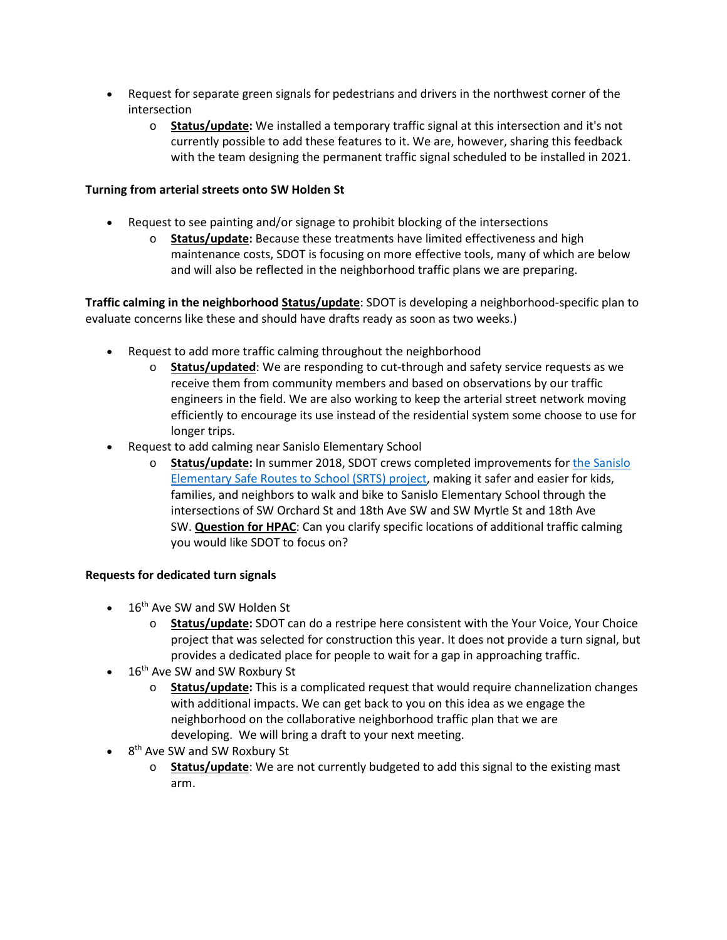- Request for separate green signals for pedestrians and drivers in the northwest corner of the intersection
	- o **Status/update:** We installed a temporary traffic signal at this intersection and it's not currently possible to add these features to it. We are, however, sharing this feedback with the team designing the permanent traffic signal scheduled to be installed in 2021.

# **Turning from arterial streets onto SW Holden St**

- Request to see painting and/or signage to prohibit blocking of the intersections
	- o **Status/update:** Because these treatments have limited effectiveness and high maintenance costs, SDOT is focusing on more effective tools, many of which are below and will also be reflected in the neighborhood traffic plans we are preparing.

**Traffic calming in the neighborhood Status/update**: SDOT is developing a neighborhood-specific plan to evaluate concerns like these and should have drafts ready as soon as two weeks.)

- Request to add more traffic calming throughout the neighborhood
	- o **Status/updated**: We are responding to cut-through and safety service requests as we receive them from community members and based on observations by our traffic engineers in the field. We are also working to keep the arterial street network moving efficiently to encourage its use instead of the residential system some choose to use for longer trips.
- Request to add calming near Sanislo Elementary School
	- o **Status/update:** In summer 2018, SDOT crews completed improvements for [the Sanislo](https://www.seattle.gov/transportation/projects-and-programs/safety-first/safe-routes-to-school/sw-myrtle-st-/-18th-ave-sw-/-sw-orchard-st)  [Elementary Safe Routes to School \(SRTS\) project,](https://www.seattle.gov/transportation/projects-and-programs/safety-first/safe-routes-to-school/sw-myrtle-st-/-18th-ave-sw-/-sw-orchard-st) making it safer and easier for kids, families, and neighbors to walk and bike to Sanislo Elementary School through the intersections of SW Orchard St and 18th Ave SW and SW Myrtle St and 18th Ave SW. **Question for HPAC**: Can you clarify specific locations of additional traffic calming you would like SDOT to focus on?

### **Requests for dedicated turn signals**

- $\bullet$  16<sup>th</sup> Ave SW and SW Holden St
	- o **Status/update:** SDOT can do a restripe here consistent with the Your Voice, Your Choice project that was selected for construction this year. It does not provide a turn signal, but provides a dedicated place for people to wait for a gap in approaching traffic.
- 16<sup>th</sup> Ave SW and SW Roxbury St
	- o **Status/update:** This is a complicated request that would require channelization changes with additional impacts. We can get back to you on this idea as we engage the neighborhood on the collaborative neighborhood traffic plan that we are developing. We will bring a draft to your next meeting.
- 8<sup>th</sup> Ave SW and SW Roxbury St
	- o **Status/update**: We are not currently budgeted to add this signal to the existing mast arm.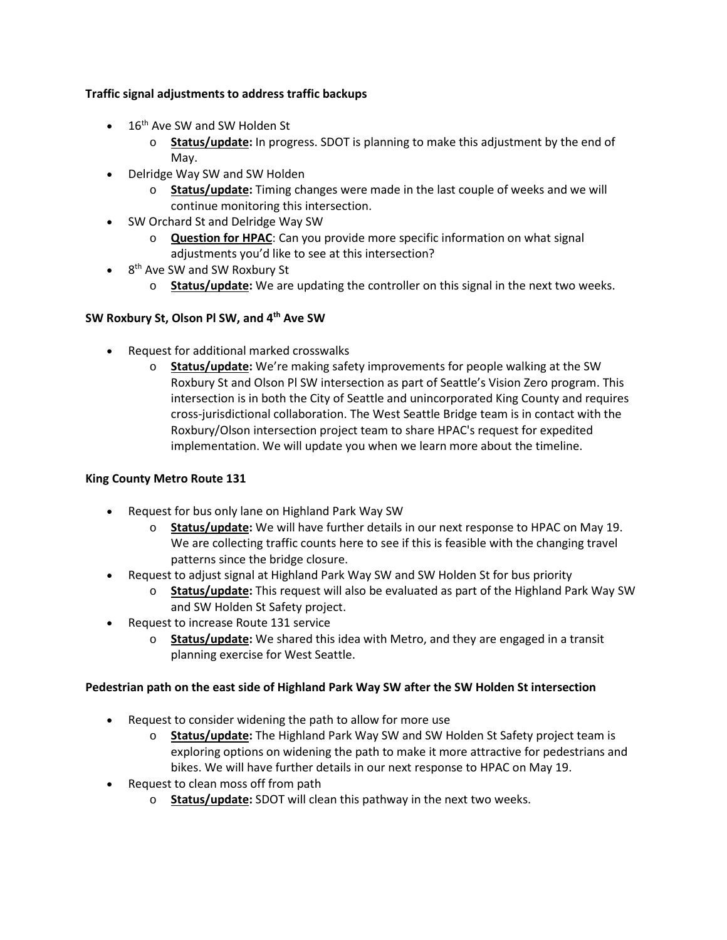# **Traffic signal adjustments to address traffic backups**

- $\bullet$  16<sup>th</sup> Ave SW and SW Holden St
	- o **Status/update:** In progress. SDOT is planning to make this adjustment by the end of May.
- Delridge Way SW and SW Holden
	- o **Status/update:** Timing changes were made in the last couple of weeks and we will continue monitoring this intersection.
- SW Orchard St and Delridge Way SW
	- o **Question for HPAC**: Can you provide more specific information on what signal adjustments you'd like to see at this intersection?
- 8<sup>th</sup> Ave SW and SW Roxbury St
	- o **Status/update:** We are updating the controller on this signal in the next two weeks.

# **SW Roxbury St, Olson Pl SW, and 4th Ave SW**

- Request for additional marked crosswalks
	- o **Status/update:** We're making safety improvements for people walking at the SW Roxbury St and Olson Pl SW intersection as part of Seattle's Vision Zero program. This intersection is in both the City of Seattle and unincorporated King County and requires cross-jurisdictional collaboration. The West Seattle Bridge team is in contact with the Roxbury/Olson intersection project team to share HPAC's request for expedited implementation. We will update you when we learn more about the timeline.

### **King County Metro Route 131**

- Request for bus only lane on Highland Park Way SW
	- o **Status/update:** We will have further details in our next response to HPAC on May 19. We are collecting traffic counts here to see if this is feasible with the changing travel patterns since the bridge closure.
- Request to adjust signal at Highland Park Way SW and SW Holden St for bus priority
	- o **Status/update:** This request will also be evaluated as part of the Highland Park Way SW and SW Holden St Safety project.
- Request to increase Route 131 service
	- o **Status/update:** We shared this idea with Metro, and they are engaged in a transit planning exercise for West Seattle.

### **Pedestrian path on the east side of Highland Park Way SW after the SW Holden St intersection**

- Request to consider widening the path to allow for more use
	- o **Status/update:** The Highland Park Way SW and SW Holden St Safety project team is exploring options on widening the path to make it more attractive for pedestrians and bikes. We will have further details in our next response to HPAC on May 19.
- Request to clean moss off from path
	- o **Status/update:** SDOT will clean this pathway in the next two weeks.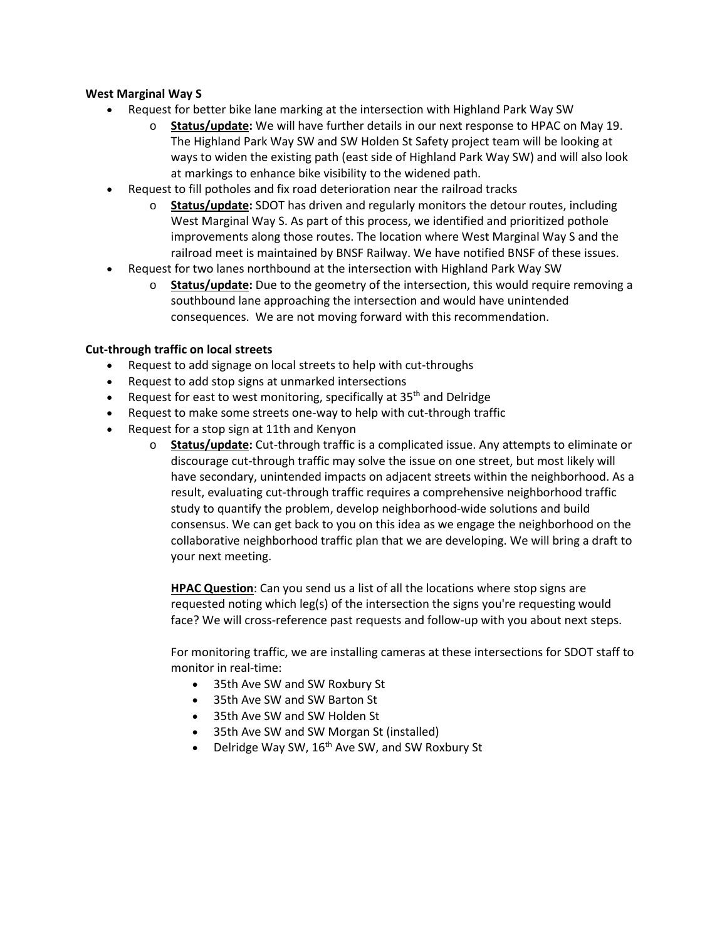# **West Marginal Way S**

- Request for better bike lane marking at the intersection with Highland Park Way SW
	- o **Status/update:** We will have further details in our next response to HPAC on May 19. The Highland Park Way SW and SW Holden St Safety project team will be looking at ways to widen the existing path (east side of Highland Park Way SW) and will also look at markings to enhance bike visibility to the widened path.
- Request to fill potholes and fix road deterioration near the railroad tracks
	- o **Status/update:** SDOT has driven and regularly monitors the detour routes, including West Marginal Way S. As part of this process, we identified and prioritized pothole improvements along those routes. The location where West Marginal Way S and the railroad meet is maintained by BNSF Railway. We have notified BNSF of these issues.
- Request for two lanes northbound at the intersection with Highland Park Way SW
	- o **Status/update:** Due to the geometry of the intersection, this would require removing a southbound lane approaching the intersection and would have unintended consequences.  We are not moving forward with this recommendation.

# **Cut-through traffic on local streets**

- Request to add signage on local streets to help with cut-throughs
- Request to add stop signs at unmarked intersections
- Request for east to west monitoring, specifically at  $35<sup>th</sup>$  and Delridge
- Request to make some streets one-way to help with cut-through traffic
- Request for a stop sign at 11th and Kenyon
	- o **Status/update:** Cut-through traffic is a complicated issue. Any attempts to eliminate or discourage cut-through traffic may solve the issue on one street, but most likely will have secondary, unintended impacts on adjacent streets within the neighborhood. As a result, evaluating cut-through traffic requires a comprehensive neighborhood traffic study to quantify the problem, develop neighborhood-wide solutions and build consensus. We can get back to you on this idea as we engage the neighborhood on the collaborative neighborhood traffic plan that we are developing. We will bring a draft to your next meeting.

**HPAC Question**: Can you send us a list of all the locations where stop signs are requested noting which leg(s) of the intersection the signs you're requesting would face? We will cross-reference past requests and follow-up with you about next steps. 

For monitoring traffic, we are installing cameras at these intersections for SDOT staff to monitor in real-time: 

- 35th Ave SW and SW Roxbury St
- 35th Ave SW and SW Barton St
- 35th Ave SW and SW Holden St
- 35th Ave SW and SW Morgan St (installed)
- Delridge Way SW,  $16<sup>th</sup>$  Ave SW, and SW Roxbury St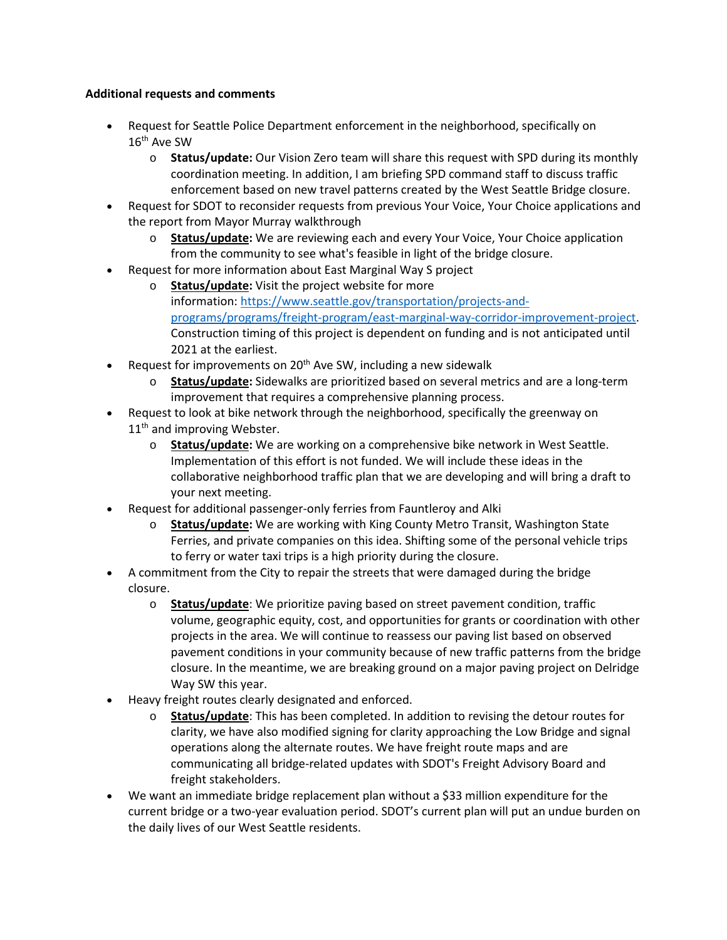# **Additional requests and comments**

- Request for Seattle Police Department enforcement in the neighborhood, specifically on 16th Ave SW
	- o **Status/update:**Our Vision Zero team will share this request with SPD during its monthly coordination meeting. In addition, I am briefing SPD command staff to discuss traffic enforcement based on new travel patterns created by the West Seattle Bridge closure.
- Request for SDOT to reconsider requests from previous Your Voice, Your Choice applications and the report from Mayor Murray walkthrough
	- o **Status/update:** We are reviewing each and every Your Voice, Your Choice application from the community to see what's feasible in light of the bridge closure.
- Request for more information about East Marginal Way S project
	- o **Status/update:** Visit the project website for more information: [https://www.seattle.gov/transportation/projects-and](https://www.seattle.gov/transportation/projects-and-programs/programs/freight-program/east-marginal-way-corridor-improvement-project)[programs/programs/freight-program/east-marginal-way-corridor-improvement-project.](https://www.seattle.gov/transportation/projects-and-programs/programs/freight-program/east-marginal-way-corridor-improvement-project) Construction timing of this project is dependent on funding and is not anticipated until 2021 at the earliest.
- Request for improvements on  $20<sup>th</sup>$  Ave SW, including a new sidewalk
	- o **Status/update:**Sidewalks are prioritized based on several metrics and are a long-term improvement that requires a comprehensive planning process.
- Request to look at bike network through the neighborhood, specifically the greenway on 11<sup>th</sup> and improving Webster.
	- o **Status/update:**We are working on a comprehensive bike network in West Seattle.  Implementation of this effort is not funded. We will include these ideas in the collaborative neighborhood traffic plan that we are developing and will bring a draft to your next meeting.
- Request for additional passenger-only ferries from Fauntleroy and Alki
	- o **Status/update:**We are working with King County Metro Transit, Washington State Ferries, and private companies on this idea. Shifting some of the personal vehicle trips to ferry or water taxi trips is a high priority during the closure.
- A commitment from the City to repair the streets that were damaged during the bridge closure.
	- o **Status/update**: We prioritize paving based on street pavement condition, traffic volume, geographic equity, cost, and opportunities for grants or coordination with other projects in the area. We will continue to reassess our paving list based on observed pavement conditions in your community because of new traffic patterns from the bridge closure. In the meantime, we are breaking ground on a major paving project on Delridge Way SW this year.
- Heavy freight routes clearly designated and enforced.
	- o **Status/update**: This has been completed. In addition to revising the detour routes for clarity, we have also modified signing for clarity approaching the Low Bridge and signal operations along the alternate routes. We have freight route maps and are communicating all bridge-related updates with SDOT's Freight Advisory Board and freight stakeholders.
- We want an immediate bridge replacement plan without a \$33 million expenditure for the current bridge or a two-year evaluation period. SDOT's current plan will put an undue burden on the daily lives of our West Seattle residents.